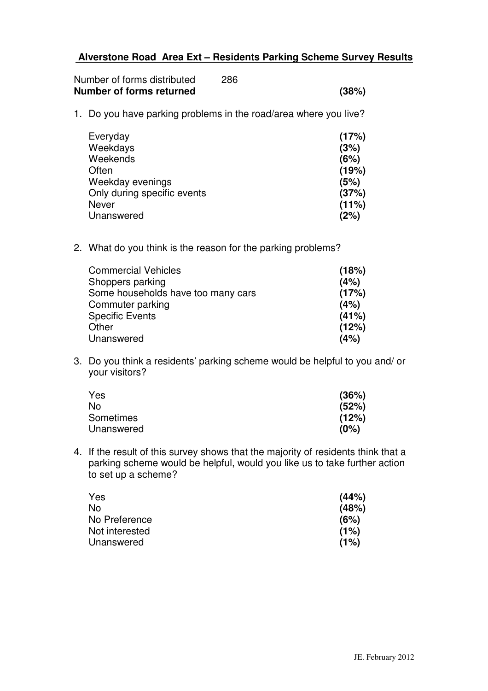## **Alverstone Road Area Ext – Residents Parking Scheme Survey Results**

| Number of forms distributed | 286 |       |
|-----------------------------|-----|-------|
| Number of forms returned    |     | (38%) |

1. Do you have parking problems in the road/area where you live?

| Everyday                    | (17%) |
|-----------------------------|-------|
| Weekdays                    | (3%)  |
| Weekends                    | (6%)  |
| Often                       | (19%) |
| Weekday evenings            | (5%)  |
| Only during specific events | (37%) |
| <b>Never</b>                | (11%) |
| Unanswered                  | (2%)  |

2. What do you think is the reason for the parking problems?

| <b>Commercial Vehicles</b>         | (18%) |
|------------------------------------|-------|
| Shoppers parking                   | (4%)  |
| Some households have too many cars | (17%) |
| Commuter parking                   | (4%)  |
| <b>Specific Events</b>             | (41%) |
| Other                              | (12%) |
| Unanswered                         | (4%)  |
|                                    |       |

3. Do you think a residents' parking scheme would be helpful to you and/ or your visitors?

| Yes              | (36%) |
|------------------|-------|
| No               | (52%) |
| <b>Sometimes</b> | (12%) |
| Unanswered       | (0%)  |

4. If the result of this survey shows that the majority of residents think that a parking scheme would be helpful, would you like us to take further action to set up a scheme?

| Yes            | (44%) |
|----------------|-------|
| No             | (48%) |
| No Preference  | (6%)  |
| Not interested | (1%)  |
| Unanswered     | (1%)  |
|                |       |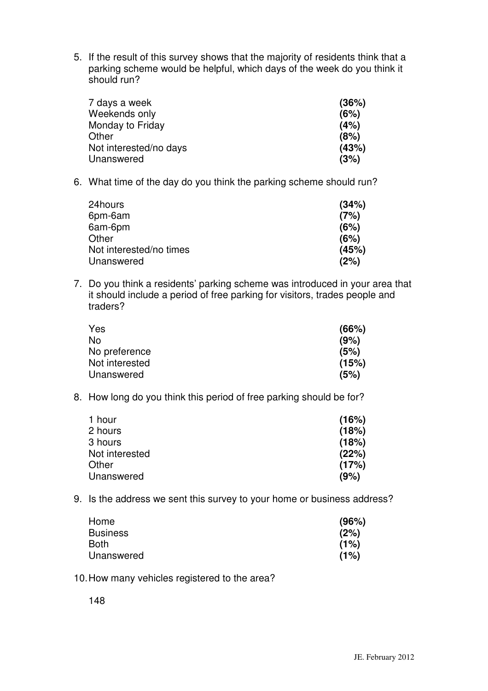5. If the result of this survey shows that the majority of residents think that a parking scheme would be helpful, which days of the week do you think it should run?

| 7 days a week          | (36%) |
|------------------------|-------|
| Weekends only          | (6%)  |
| Monday to Friday       | (4%)  |
| Other                  | (8%)  |
| Not interested/no days | (43%) |
| Unanswered             | (3%)  |

6. What time of the day do you think the parking scheme should run?

| 24hours                 | (34%) |
|-------------------------|-------|
| 6pm-6am                 | (7%)  |
| 6am-6pm                 | (6%)  |
| Other                   | (6%)  |
| Not interested/no times | (45%) |
| Unanswered              | (2%)  |

7. Do you think a residents' parking scheme was introduced in your area that it should include a period of free parking for visitors, trades people and traders?

| Yes            | (66%) |
|----------------|-------|
| No             | (9%)  |
| No preference  | (5%)  |
| Not interested | (15%) |
| Unanswered     | (5%)  |

8. How long do you think this period of free parking should be for?

| 1 hour         | (16%) |
|----------------|-------|
| 2 hours        | (18%) |
| 3 hours        | (18%) |
| Not interested | (22%) |
| Other          | (17%) |
| Unanswered     | (9%)  |
|                |       |

9. Is the address we sent this survey to your home or business address?

| Home            | (96%) |
|-----------------|-------|
| <b>Business</b> | (2%)  |
| Both            | (1%)  |
| Unanswered      | (1%)  |

10.How many vehicles registered to the area?

148